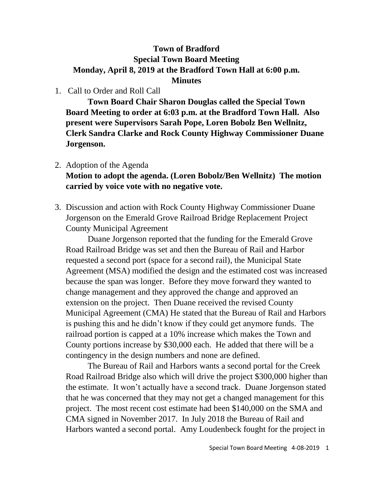## **Town of Bradford Special Town Board Meeting Monday, April 8, 2019 at the Bradford Town Hall at 6:00 p.m. Minutes**

## 1. Call to Order and Roll Call

**Town Board Chair Sharon Douglas called the Special Town Board Meeting to order at 6:03 p.m. at the Bradford Town Hall. Also present were Supervisors Sarah Pope, Loren Bobolz Ben Wellnitz, Clerk Sandra Clarke and Rock County Highway Commissioner Duane Jorgenson.**

## 2. Adoption of the Agenda **Motion to adopt the agenda. (Loren Bobolz/Ben Wellnitz) The motion carried by voice vote with no negative vote.**

3. Discussion and action with Rock County Highway Commissioner Duane Jorgenson on the Emerald Grove Railroad Bridge Replacement Project County Municipal Agreement

Duane Jorgenson reported that the funding for the Emerald Grove Road Railroad Bridge was set and then the Bureau of Rail and Harbor requested a second port (space for a second rail), the Municipal State Agreement (MSA) modified the design and the estimated cost was increased because the span was longer. Before they move forward they wanted to change management and they approved the change and approved an extension on the project. Then Duane received the revised County Municipal Agreement (CMA) He stated that the Bureau of Rail and Harbors is pushing this and he didn't know if they could get anymore funds. The railroad portion is capped at a 10% increase which makes the Town and County portions increase by \$30,000 each. He added that there will be a contingency in the design numbers and none are defined.

The Bureau of Rail and Harbors wants a second portal for the Creek Road Railroad Bridge also which will drive the project \$300,000 higher than the estimate. It won't actually have a second track. Duane Jorgenson stated that he was concerned that they may not get a changed management for this project. The most recent cost estimate had been \$140,000 on the SMA and CMA signed in November 2017. In July 2018 the Bureau of Rail and Harbors wanted a second portal. Amy Loudenbeck fought for the project in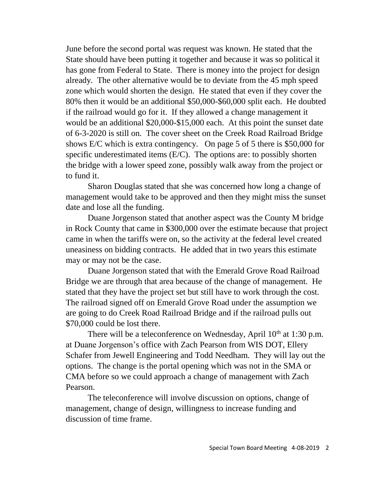June before the second portal was request was known. He stated that the State should have been putting it together and because it was so political it has gone from Federal to State. There is money into the project for design already. The other alternative would be to deviate from the 45 mph speed zone which would shorten the design. He stated that even if they cover the 80% then it would be an additional \$50,000-\$60,000 split each. He doubted if the railroad would go for it. If they allowed a change management it would be an additional \$20,000-\$15,000 each. At this point the sunset date of 6-3-2020 is still on. The cover sheet on the Creek Road Railroad Bridge shows E/C which is extra contingency. On page 5 of 5 there is \$50,000 for specific underestimated items (E/C). The options are: to possibly shorten the bridge with a lower speed zone, possibly walk away from the project or to fund it.

Sharon Douglas stated that she was concerned how long a change of management would take to be approved and then they might miss the sunset date and lose all the funding.

Duane Jorgenson stated that another aspect was the County M bridge in Rock County that came in \$300,000 over the estimate because that project came in when the tariffs were on, so the activity at the federal level created uneasiness on bidding contracts. He added that in two years this estimate may or may not be the case.

Duane Jorgenson stated that with the Emerald Grove Road Railroad Bridge we are through that area because of the change of management. He stated that they have the project set but still have to work through the cost. The railroad signed off on Emerald Grove Road under the assumption we are going to do Creek Road Railroad Bridge and if the railroad pulls out \$70,000 could be lost there.

There will be a teleconference on Wednesday, April  $10<sup>th</sup>$  at 1:30 p.m. at Duane Jorgenson's office with Zach Pearson from WIS DOT, Ellery Schafer from Jewell Engineering and Todd Needham. They will lay out the options. The change is the portal opening which was not in the SMA or CMA before so we could approach a change of management with Zach Pearson.

The teleconference will involve discussion on options, change of management, change of design, willingness to increase funding and discussion of time frame.